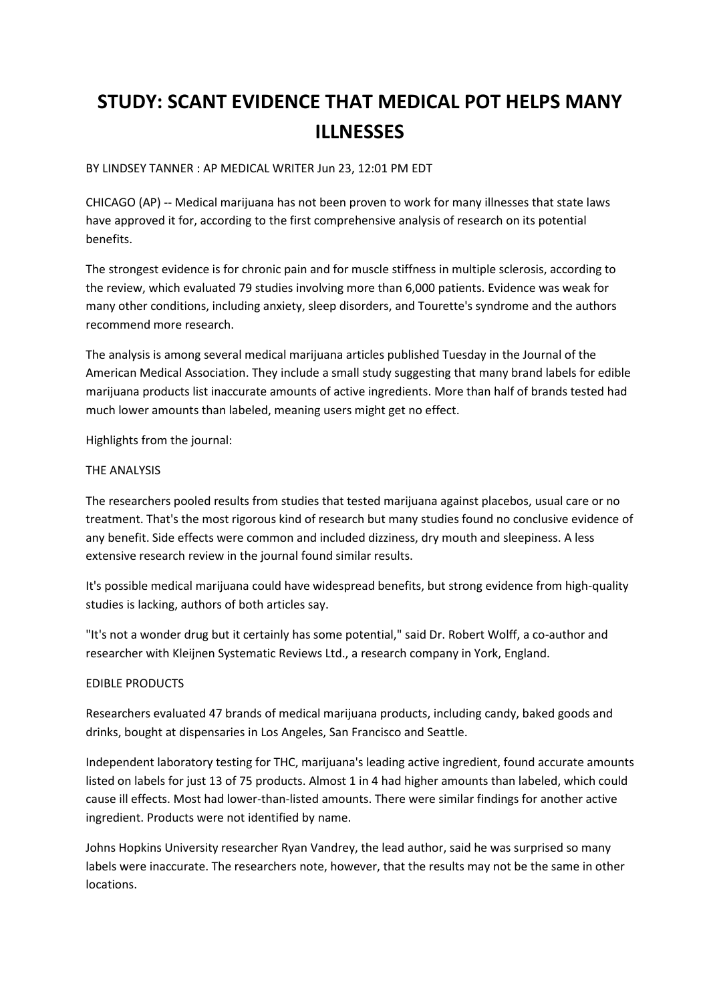# **STUDY: SCANT EVIDENCE THAT MEDICAL POT HELPS MANY ILLNESSES**

BY LINDSEY TANNER : AP MEDICAL WRITER Jun 23, 12:01 PM EDT

CHICAGO (AP) -- Medical marijuana has not been proven to work for many illnesses that state laws have approved it for, according to the first comprehensive analysis of research on its potential benefits.

The strongest evidence is for chronic pain and for muscle stiffness in multiple sclerosis, according to the review, which evaluated 79 studies involving more than 6,000 patients. Evidence was weak for many other conditions, including anxiety, sleep disorders, and Tourette's syndrome and the authors recommend more research.

The analysis is among several medical marijuana articles published Tuesday in the Journal of the American Medical Association. They include a small study suggesting that many brand labels for edible marijuana products list inaccurate amounts of active ingredients. More than half of brands tested had much lower amounts than labeled, meaning users might get no effect.

Highlights from the journal:

# THE ANALYSIS

The researchers pooled results from studies that tested marijuana against placebos, usual care or no treatment. That's the most rigorous kind of research but many studies found no conclusive evidence of any benefit. Side effects were common and included dizziness, dry mouth and sleepiness. A less extensive research review in the journal found similar results.

It's possible medical marijuana could have widespread benefits, but strong evidence from high-quality studies is lacking, authors of both articles say.

"It's not a wonder drug but it certainly has some potential," said Dr. Robert Wolff, a co-author and researcher with Kleijnen Systematic Reviews Ltd., a research company in York, England.

# EDIBLE PRODUCTS

Researchers evaluated 47 brands of medical marijuana products, including candy, baked goods and drinks, bought at dispensaries in Los Angeles, San Francisco and Seattle.

Independent laboratory testing for THC, marijuana's leading active ingredient, found accurate amounts listed on labels for just 13 of 75 products. Almost 1 in 4 had higher amounts than labeled, which could cause ill effects. Most had lower-than-listed amounts. There were similar findings for another active ingredient. Products were not identified by name.

Johns Hopkins University researcher Ryan Vandrey, the lead author, said he was surprised so many labels were inaccurate. The researchers note, however, that the results may not be the same in other locations.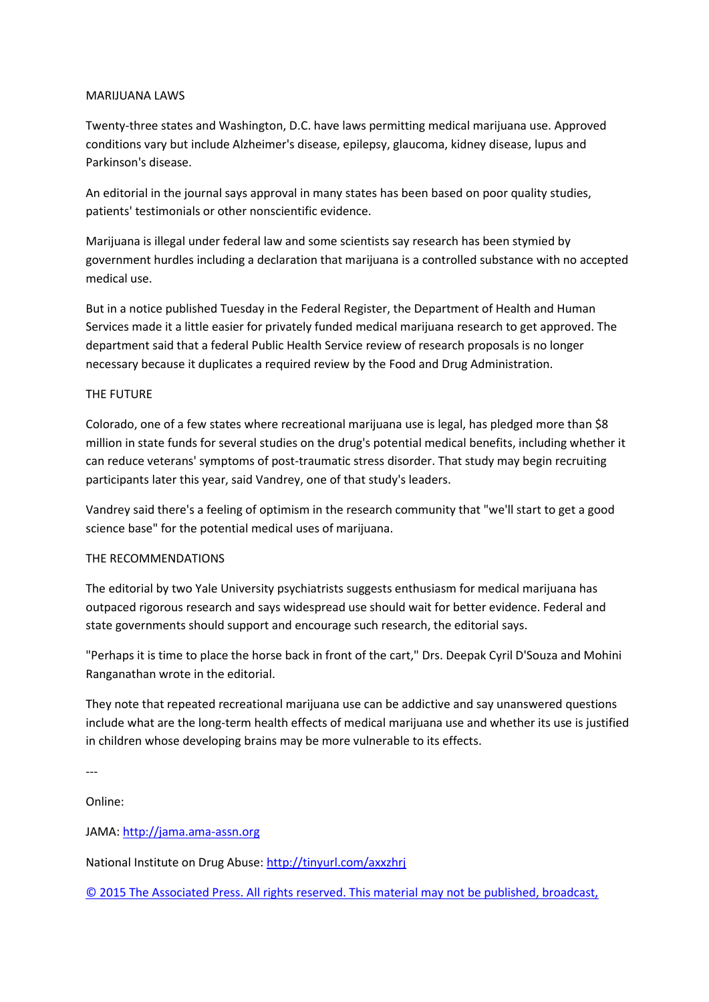#### MARIJUANA LAWS

Twenty-three states and Washington, D.C. have laws permitting medical marijuana use. Approved conditions vary but include Alzheimer's disease, epilepsy, glaucoma, kidney disease, lupus and Parkinson's disease.

An editorial in the journal says approval in many states has been based on poor quality studies, patients' testimonials or other nonscientific evidence.

Marijuana is illegal under federal law and some scientists say research has been stymied by government hurdles including a declaration that marijuana is a controlled substance with no accepted medical use.

But in a notice published Tuesday in the Federal Register, the Department of Health and Human Services made it a little easier for privately funded medical marijuana research to get approved. The department said that a federal Public Health Service review of research proposals is no longer necessary because it duplicates a required review by the Food and Drug Administration.

# THE FUTURE

Colorado, one of a few states where recreational marijuana use is legal, has pledged more than \$8 million in state funds for several studies on the drug's potential medical benefits, including whether it can reduce veterans' symptoms of post-traumatic stress disorder. That study may begin recruiting participants later this year, said Vandrey, one of that study's leaders.

Vandrey said there's a feeling of optimism in the research community that "we'll start to get a good science base" for the potential medical uses of marijuana.

# THE RECOMMENDATIONS

The editorial by two Yale University psychiatrists suggests enthusiasm for medical marijuana has outpaced rigorous research and says widespread use should wait for better evidence. Federal and state governments should support and encourage such research, the editorial says.

"Perhaps it is time to place the horse back in front of the cart," Drs. Deepak Cyril D'Souza and Mohini Ranganathan wrote in the editorial.

They note that repeated recreational marijuana use can be addictive and say unanswered questions include what are the long-term health effects of medical marijuana use and whether its use is justified in children whose developing brains may be more vulnerable to its effects.

---

Online:

JAMA: [http://jama.ama-assn.org](http://jama.ama-assn.org/)

National Institute on Drug Abuse: <http://tinyurl.com/axxzhrj>

© 2015 [The Associated Press. All rights reserved. This material may not be published, broadcast,](http://hosted.ap.org/dynamic/stories/U/US_MED_MEDICAL_MARIJUANA_RESEARCH_5_THINGS?SITE=AP&SECTION=HOME&TEMPLATE=DEFAULT&CTIME=2015-06-23-11-51-43#6ec8ff90-5e39-4624-b30c-f77909e36bc8)